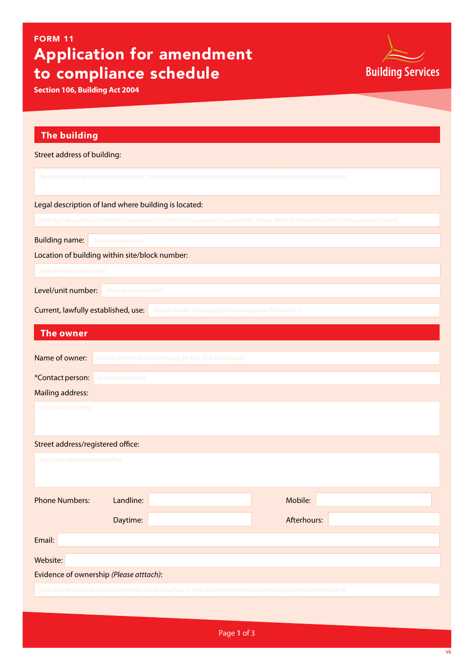## Application for amendment to compliance schedule FORM 11

**Section 106, Building Act 2004**



|  |  | The building |
|--|--|--------------|
|  |  |              |

| Street address of building:                                                                                                                                            |                                                                         |                                                                                                                                               |             |  |  |  |  |
|------------------------------------------------------------------------------------------------------------------------------------------------------------------------|-------------------------------------------------------------------------|-----------------------------------------------------------------------------------------------------------------------------------------------|-------------|--|--|--|--|
| [for structures that do not have a street address, state the nearest street intersection and the distance and direction from that intersection]                        |                                                                         |                                                                                                                                               |             |  |  |  |  |
| Legal description of land where building is located:                                                                                                                   |                                                                         |                                                                                                                                               |             |  |  |  |  |
| [state legal description as at the date of application and, if the land is proposed to be subdivided, include details of relevant lot numbers and subdivision consent] |                                                                         |                                                                                                                                               |             |  |  |  |  |
| <b>Building name:</b><br>[insert building name]                                                                                                                        |                                                                         |                                                                                                                                               |             |  |  |  |  |
| Location of building within site/block number:                                                                                                                         |                                                                         |                                                                                                                                               |             |  |  |  |  |
| [include nearest street access]                                                                                                                                        |                                                                         |                                                                                                                                               |             |  |  |  |  |
| Level/unit number:<br>[insert level/unit number]                                                                                                                       |                                                                         |                                                                                                                                               |             |  |  |  |  |
| Current, lawfully established, use:<br>[include number of occupants per level and per use if more than 1]                                                              |                                                                         |                                                                                                                                               |             |  |  |  |  |
| <b>The owner</b>                                                                                                                                                       |                                                                         |                                                                                                                                               |             |  |  |  |  |
| Name of owner:                                                                                                                                                         | [include preferred form of address, eg, Mr, Miss, Dr, if an individual] |                                                                                                                                               |             |  |  |  |  |
| *Contact person:                                                                                                                                                       | [insert contact name]                                                   |                                                                                                                                               |             |  |  |  |  |
| <b>Mailing address:</b>                                                                                                                                                |                                                                         |                                                                                                                                               |             |  |  |  |  |
| [insert mailing address]                                                                                                                                               |                                                                         |                                                                                                                                               |             |  |  |  |  |
| Street address/registered office:                                                                                                                                      |                                                                         |                                                                                                                                               |             |  |  |  |  |
| insert street address/registered office]                                                                                                                               |                                                                         |                                                                                                                                               |             |  |  |  |  |
| <b>Phone Numbers:</b>                                                                                                                                                  | Landline:                                                               |                                                                                                                                               | Mobile:     |  |  |  |  |
|                                                                                                                                                                        | Daytime:                                                                |                                                                                                                                               | Afterhours: |  |  |  |  |
| Email:                                                                                                                                                                 |                                                                         |                                                                                                                                               |             |  |  |  |  |
| Website:                                                                                                                                                               |                                                                         |                                                                                                                                               |             |  |  |  |  |
| Evidence of ownership (Please atttach):                                                                                                                                |                                                                         |                                                                                                                                               |             |  |  |  |  |
|                                                                                                                                                                        |                                                                         | [copy of certificate of title, lease, agreement for sale and purchase, or other document showing full name of legal owner(s) of the building] |             |  |  |  |  |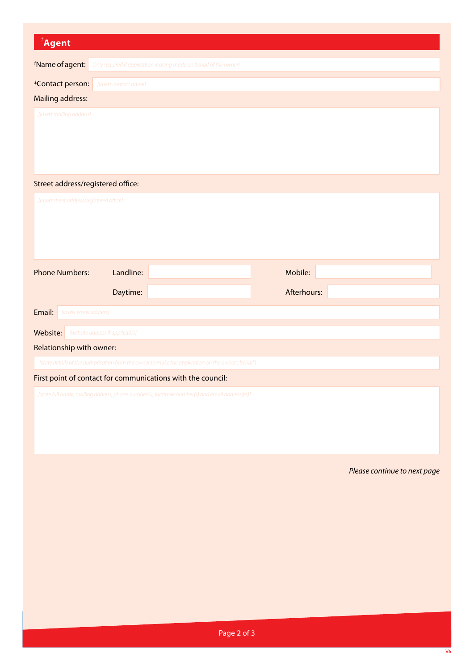| $\mathbf{A}$ gent                                                                              |                       |                                                                                                   |             |  |                              |  |  |  |
|------------------------------------------------------------------------------------------------|-----------------------|---------------------------------------------------------------------------------------------------|-------------|--|------------------------------|--|--|--|
| *Name of agent:                                                                                |                       | Only required if application is being made on behalf of the owner}                                |             |  |                              |  |  |  |
|                                                                                                |                       |                                                                                                   |             |  |                              |  |  |  |
| #Contact person:<br>Mailing address:                                                           | [insert contact name] |                                                                                                   |             |  |                              |  |  |  |
| [insert mailing address]                                                                       |                       |                                                                                                   |             |  |                              |  |  |  |
| Street address/registered office:                                                              |                       |                                                                                                   |             |  |                              |  |  |  |
| [insert street address/registered office]                                                      |                       |                                                                                                   |             |  |                              |  |  |  |
| <b>Phone Numbers:</b>                                                                          | Landline:             |                                                                                                   | Mobile:     |  |                              |  |  |  |
|                                                                                                | Daytime:              |                                                                                                   | Afterhours: |  |                              |  |  |  |
| Email:<br>[insert email address]                                                               |                       |                                                                                                   |             |  |                              |  |  |  |
| Website:<br>[website address if applicable]                                                    |                       |                                                                                                   |             |  |                              |  |  |  |
| Relationship with owner:                                                                       |                       |                                                                                                   |             |  |                              |  |  |  |
|                                                                                                |                       | [state details of the authorisation from the owner to make the application on the owner's behalf] |             |  |                              |  |  |  |
|                                                                                                |                       | First point of contact for communications with the council:                                       |             |  |                              |  |  |  |
| [state full name, mailing address, phone number(s), facsimile number(s) and email address(es)] |                       |                                                                                                   |             |  |                              |  |  |  |
|                                                                                                |                       |                                                                                                   |             |  | Please continue to next page |  |  |  |
|                                                                                                |                       |                                                                                                   |             |  |                              |  |  |  |
|                                                                                                |                       |                                                                                                   |             |  |                              |  |  |  |
|                                                                                                |                       |                                                                                                   |             |  |                              |  |  |  |
|                                                                                                |                       |                                                                                                   |             |  |                              |  |  |  |
|                                                                                                |                       |                                                                                                   |             |  |                              |  |  |  |